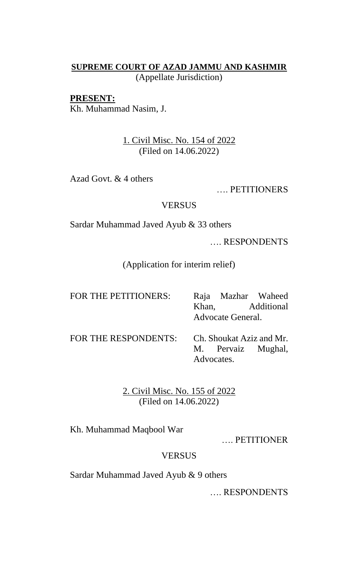# **SUPREME COURT OF AZAD JAMMU AND KASHMIR** (Appellate Jurisdiction)

### **PRESENT:**

Kh. Muhammad Nasim, J.

# 1. Civil Misc. No. 154 of 2022 (Filed on 14.06.2022)

Azad Govt. & 4 others

…. PETITIONERS

#### **VERSUS**

Sardar Muhammad Javed Ayub & 33 others

…. RESPONDENTS

(Application for interim relief)

| FOR THE PETITIONERS:                          |            |                   | Raja Mazhar Waheed |
|-----------------------------------------------|------------|-------------------|--------------------|
|                                               |            |                   | Khan, Additional   |
|                                               |            | Advocate General. |                    |
| FOR THE RESPONDENTS: Ch. Shoukat Aziz and Mr. |            |                   |                    |
|                                               |            |                   | M. Pervaiz Mughal, |
|                                               | Advocates. |                   |                    |

2. Civil Misc. No. 155 of 2022 (Filed on 14.06.2022)

Kh. Muhammad Maqbool War

…. PETITIONER

## VERSUS

Sardar Muhammad Javed Ayub & 9 others

…. RESPONDENTS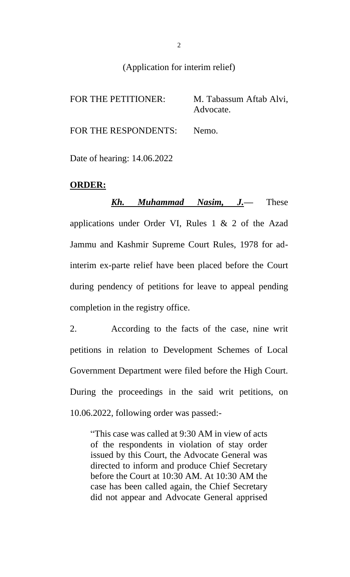### (Application for interim relief)

FOR THE PETITIONER: M. Tabassum Aftab Alvi, Advocate. FOR THE RESPONDENTS: Nemo.

Date of hearing: 14.06.2022

#### **ORDER:**

*Kh. Muhammad Nasim, J.—* These applications under Order VI, Rules 1 & 2 of the Azad Jammu and Kashmir Supreme Court Rules, 1978 for adinterim ex-parte relief have been placed before the Court during pendency of petitions for leave to appeal pending completion in the registry office.

2. According to the facts of the case, nine writ petitions in relation to Development Schemes of Local Government Department were filed before the High Court. During the proceedings in the said writ petitions, on 10.06.2022, following order was passed:-

"This case was called at 9:30 AM in view of acts of the respondents in violation of stay order issued by this Court, the Advocate General was directed to inform and produce Chief Secretary before the Court at 10:30 AM. At 10:30 AM the case has been called again, the Chief Secretary did not appear and Advocate General apprised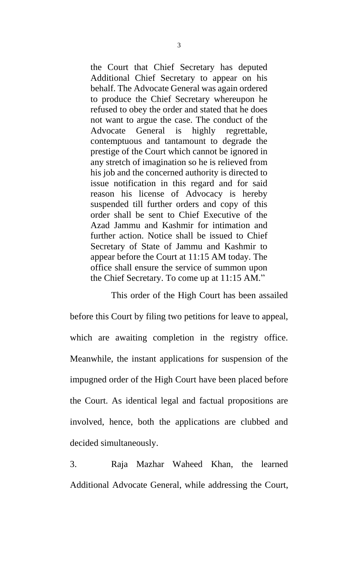the Court that Chief Secretary has deputed Additional Chief Secretary to appear on his behalf. The Advocate General was again ordered to produce the Chief Secretary whereupon he refused to obey the order and stated that he does not want to argue the case. The conduct of the Advocate General is highly regrettable, contemptuous and tantamount to degrade the prestige of the Court which cannot be ignored in any stretch of imagination so he is relieved from his job and the concerned authority is directed to issue notification in this regard and for said reason his license of Advocacy is hereby suspended till further orders and copy of this order shall be sent to Chief Executive of the Azad Jammu and Kashmir for intimation and further action. Notice shall be issued to Chief Secretary of State of Jammu and Kashmir to appear before the Court at 11:15 AM today. The office shall ensure the service of summon upon the Chief Secretary. To come up at 11:15 AM."

This order of the High Court has been assailed before this Court by filing two petitions for leave to appeal, which are awaiting completion in the registry office. Meanwhile, the instant applications for suspension of the impugned order of the High Court have been placed before the Court. As identical legal and factual propositions are involved, hence, both the applications are clubbed and decided simultaneously.

3. Raja Mazhar Waheed Khan, the learned Additional Advocate General, while addressing the Court,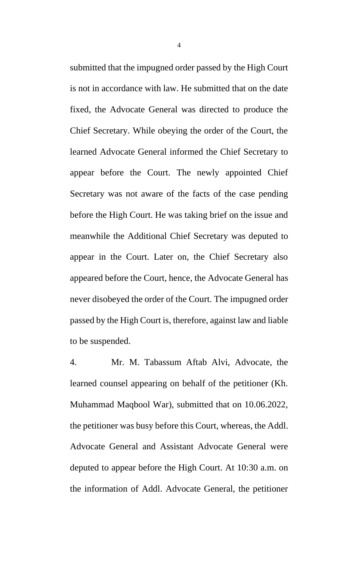submitted that the impugned order passed by the High Court is not in accordance with law. He submitted that on the date fixed, the Advocate General was directed to produce the Chief Secretary. While obeying the order of the Court, the learned Advocate General informed the Chief Secretary to appear before the Court. The newly appointed Chief Secretary was not aware of the facts of the case pending before the High Court. He was taking brief on the issue and meanwhile the Additional Chief Secretary was deputed to appear in the Court. Later on, the Chief Secretary also appeared before the Court, hence, the Advocate General has never disobeyed the order of the Court. The impugned order passed by the High Court is, therefore, against law and liable to be suspended.

4. Mr. M. Tabassum Aftab Alvi, Advocate, the learned counsel appearing on behalf of the petitioner (Kh. Muhammad Maqbool War), submitted that on 10.06.2022, the petitioner was busy before this Court, whereas, the Addl. Advocate General and Assistant Advocate General were deputed to appear before the High Court. At 10:30 a.m. on the information of Addl. Advocate General, the petitioner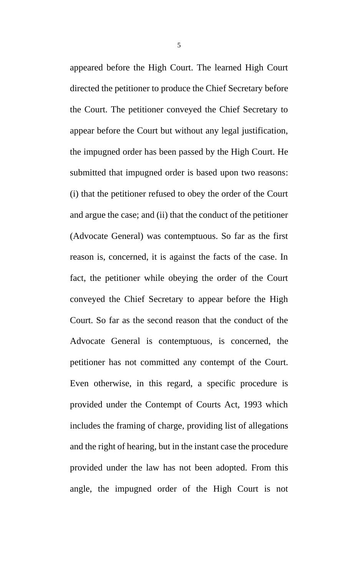appeared before the High Court. The learned High Court directed the petitioner to produce the Chief Secretary before the Court. The petitioner conveyed the Chief Secretary to appear before the Court but without any legal justification, the impugned order has been passed by the High Court. He submitted that impugned order is based upon two reasons: (i) that the petitioner refused to obey the order of the Court and argue the case; and (ii) that the conduct of the petitioner (Advocate General) was contemptuous. So far as the first reason is, concerned, it is against the facts of the case. In fact, the petitioner while obeying the order of the Court conveyed the Chief Secretary to appear before the High Court. So far as the second reason that the conduct of the Advocate General is contemptuous, is concerned, the petitioner has not committed any contempt of the Court. Even otherwise, in this regard, a specific procedure is provided under the Contempt of Courts Act, 1993 which includes the framing of charge, providing list of allegations and the right of hearing, but in the instant case the procedure provided under the law has not been adopted. From this angle, the impugned order of the High Court is not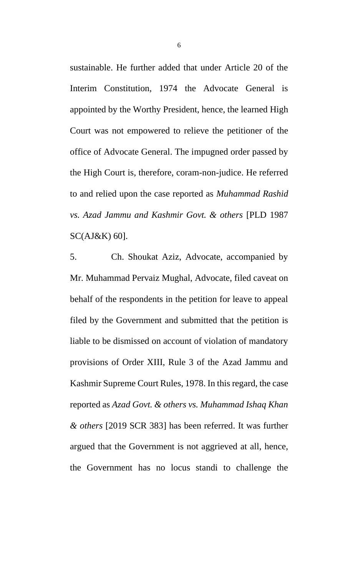sustainable. He further added that under Article 20 of the Interim Constitution, 1974 the Advocate General is appointed by the Worthy President, hence, the learned High Court was not empowered to relieve the petitioner of the office of Advocate General. The impugned order passed by the High Court is, therefore, coram-non-judice. He referred to and relied upon the case reported as *Muhammad Rashid vs. Azad Jammu and Kashmir Govt. & others* [PLD 1987 SC(AJ&K) 60].

5. Ch. Shoukat Aziz, Advocate, accompanied by Mr. Muhammad Pervaiz Mughal, Advocate, filed caveat on behalf of the respondents in the petition for leave to appeal filed by the Government and submitted that the petition is liable to be dismissed on account of violation of mandatory provisions of Order XIII, Rule 3 of the Azad Jammu and Kashmir Supreme Court Rules, 1978. In this regard, the case reported as *Azad Govt. & others vs. Muhammad Ishaq Khan & others* [2019 SCR 383] has been referred. It was further argued that the Government is not aggrieved at all, hence, the Government has no locus standi to challenge the

6